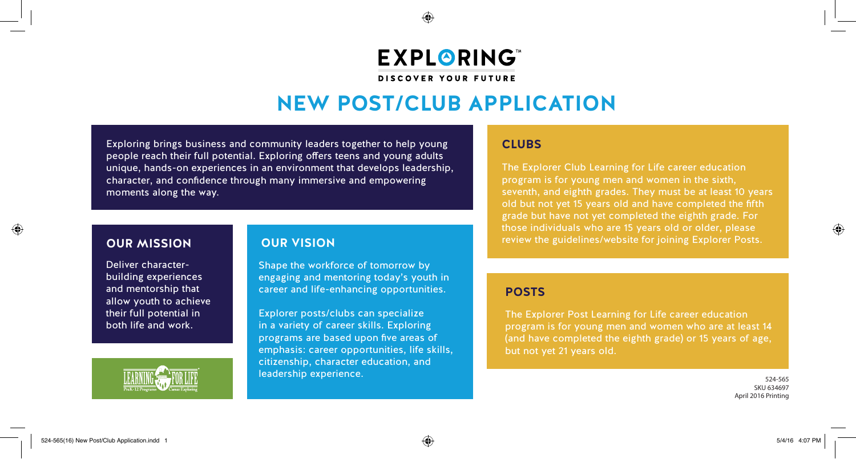◈

**EXPLORING** 

**DISCOVER YOUR FUTURE** 

# **NEW POST/CLUB APPLICATION**

Exploring brings business and community leaders together to help young people reach their full potential. Exploring offers teens and young adults unique, hands-on experiences in an environment that develops leadership, character, and confidence through many immersive and empowering moments along the way.

## **OUR MISSION**

Deliver characterbuilding experiences and mentorship that allow youth to achieve their full potential in both life and work.



### **OUR VISION**

Shape the workforce of tomorrow by engaging and mentoring today's youth in career and life-enhancing opportunities.

Explorer posts/clubs can specialize in a variety of career skills. Exploring programs are based upon five areas of emphasis: career opportunities, life skills, citizenship, character education, and leadership experience.

#### **CLUBS**

The Explorer Club Learning for Life career education program is for young men and women in the sixth, seventh, and eighth grades. They must be at least 10 years old but not yet 15 years old and have completed the fifth grade but have not yet completed the eighth grade. For those individuals who are 15 years old or older, please review the guidelines/website for joining Explorer Posts.

#### **POSTS**

The Explorer Post Learning for Life career education program is for young men and women who are at least 14 (and have completed the eighth grade) or 15 years of age, but not yet 21 years old.

> 524-565 SKU 634697 April 2016 Printing

⊕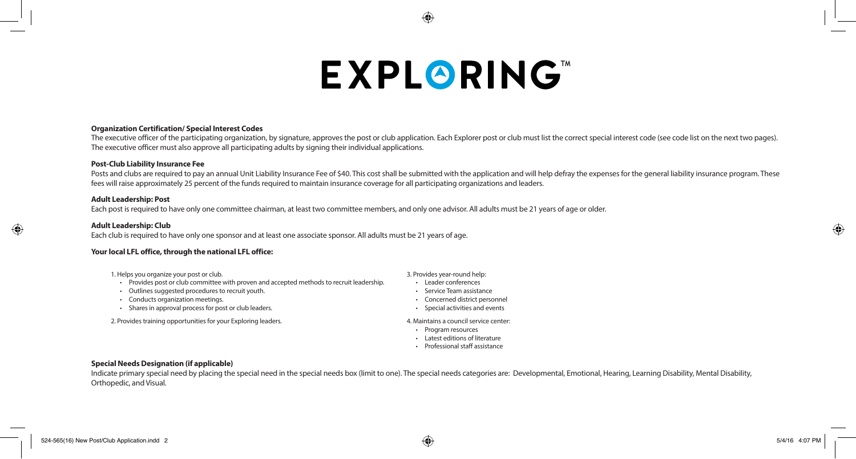# **EXPLORING**

#### **Organization Certification/ Special Interest Codes**

The executive officer of the participating organization, by signature, approves the post or club application. Each Explorer post or club must list the correct special interest code (see code list on the next two pages). The executive officer must also approve all participating adults by signing their individual applications.

#### **Post-Club Liability Insurance Fee**

Posts and clubs are required to pay an annual Unit Liability Insurance Fee of \$40. This cost shall be submitted with the application and will help defray the expenses for the general liability insurance program. These fees will raise approximately 25 percent of the funds required to maintain insurance coverage for all participating organizations and leaders.

#### **Adult Leadership: Post**

Each post is required to have only one committee chairman, at least two committee members, and only one advisor. All adults must be 21 years of age or older.

#### **Adult Leadership: Club**

 $\bigoplus$ 

Each club is required to have only one sponsor and at least one associate sponsor. All adults must be 21 years of age.

#### **Your local LFL office, through the national LFL office:**

- 1. Helps you organize your post or club.
- Provides post or club committee with proven and accepted methods to recruit leadership.
- Outlines suggested procedures to recruit youth.
- Conducts organization meetings.
- Shares in approval process for post or club leaders.

2. Provides training opportunities for your Exploring leaders. 4. Maintains a council service center:

- 3. Provides year-round help: • Leader conferences
- Service Team assistance
- Concerned district personnel
- Special activities and events
- 
- 
- Program resources
- Latest editions of literature
- Professional staff assistance

#### **Special Needs Designation (if applicable)**

Indicate primary special need by placing the special need in the special needs box (limit to one). The special needs categories are: Developmental, Emotional, Hearing, Learning Disability, Mental Disability, Mental Disabil Orthopedic, and Visual.

⊕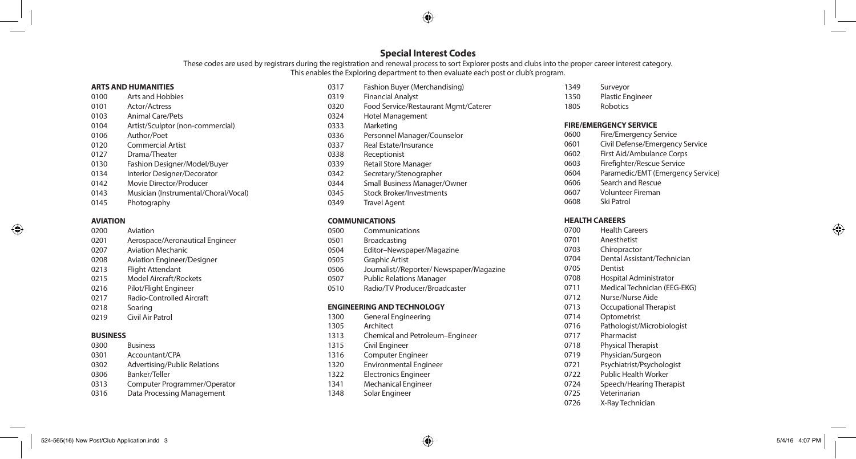#### **Special Interest Codes**

⊕

These codes are used by registrars during the registration and renewal process to sort Explorer posts and clubs into the proper career interest category. This enables the Exploring department to then evaluate each post or club's program.

#### **ARTS AND HUMANITIES**

- Arts and Hobbies Actor/Actress Animal Care/Pets Artist/Sculptor (non-commercial) Author/Poet Commercial Artist Drama/Theater Fashion Designer/Model/Buyer
- Interior Designer/Decorator
- Movie Director/Producer
- Musician (Instrumental/Choral/Vocal)
- Photography

#### **AVIATION**

- Aviation Aerospace/Aeronautical Engineer Aviation Mechanic Aviation Engineer/Designer Flight Attendant
- Model Aircraft/Rockets
- Pilot/Flight Engineer
- Radio-Controlled Aircraft
- Soaring
- Civil Air Patrol

#### **BUSINESS**

- Business Accountant/CPA Advertising/Public Relations Banker/Teller
- Computer Programmer/Operator Data Processing Management
- Fashion Buyer (Merchandising)
- Financial Analyst
- Food Service/Restaurant Mgmt/Caterer
- Hotel Management Marketing
	-
- Personnel Manager/Counselor
- Real Estate/Insurance
- Receptionist
- Retail Store Manager
- Secretary/Stenographer
- Small Business Manager/Owner
- Stock Broker/Investments
- Travel Agent

#### **COMMUNICATIONS**

| 0500                       | Communications                           |  |  |  |
|----------------------------|------------------------------------------|--|--|--|
| 0501                       | <b>Broadcasting</b>                      |  |  |  |
| 0504                       | Editor-Newspaper/Magazine                |  |  |  |
| 0505                       | <b>Graphic Artist</b>                    |  |  |  |
| 0506                       | Journalist//Reporter/ Newspaper/Magazine |  |  |  |
| 0507                       | <b>Public Relations Manager</b>          |  |  |  |
| 0510                       | Radio/TV Producer/Broadcaster            |  |  |  |
|                            |                                          |  |  |  |
| ENGINEERING AND TECHNOLOGY |                                          |  |  |  |

- General Engineering Architect Chemical and Petroleum–Engineer Civil Engineer Computer Engineer Environmental Engineer Electronics Engineer Mechanical Engineer
- Solar Engineer
- Surveyor
- Plastic Engineer
- Robotics

#### **FIRE/EMERGENCY SERVICE**

- Fire/Emergency Service
- Civil Defense/Emergency Service
- First Aid/Ambulance Corps
- Firefighter/Rescue Service
- Paramedic/EMT (Emergency Service)
- Search and Rescue
- Volunteer Fireman
- Ski Patrol

#### **HEALTH CAREERS**

| 0700 | <b>Health Careers</b>        |
|------|------------------------------|
| 0701 | Anesthetist                  |
| 0703 | Chiropractor                 |
| 0704 | Dental Assistant/Technician  |
| 0705 | Dentist                      |
| 0708 | Hospital Administrator       |
| 0711 | Medical Technician (EEG-EKG) |
| 0712 | Nurse/Nurse Aide             |
| 0713 | Occupational Therapist       |
| 0714 | Optometrist                  |
| 0716 | Pathologist/Microbiologist   |
| 0717 | Pharmacist                   |
| 0718 | <b>Physical Therapist</b>    |
| 0719 | Physician/Surgeon            |
| 0721 | Psychiatrist/Psychologist    |
| 0722 | <b>Public Health Worker</b>  |
| 0724 | Speech/Hearing Therapist     |
| 0725 | Veterinarian                 |
| 0726 | X-Ray Technician             |
|      |                              |

 $\bigoplus$ 

⊕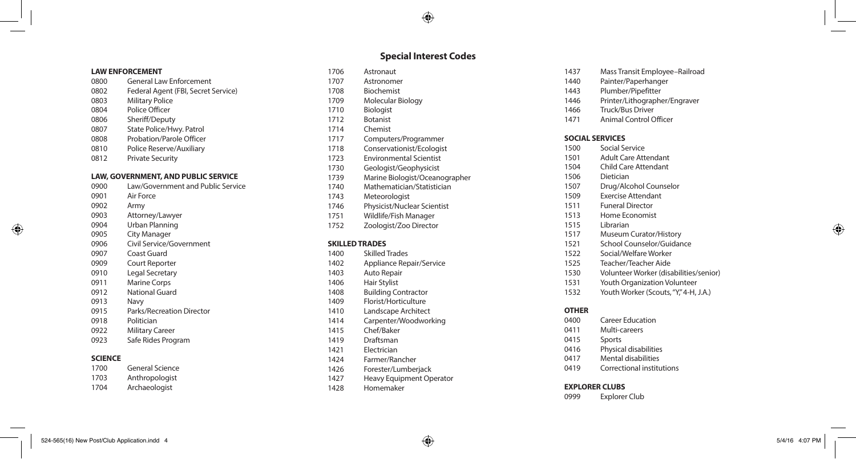#### **LAW ENFORCEMENT**

- General Law Enforcement Federal Agent (FBI, Secret Service) Military Police
- Police Officer
- 
- Sheriff/Deputy
- State Police/Hwy. Patrol Probation/Parole Officer
- Police Reserve/Auxiliary
- Private Security
- 

#### **LAW, GOVERNMENT, AND PUBLIC SERVICE**

 Law/Government and Public Service Air Force Army Attorney/Lawyer Urban Planning City Manager Civil Service/Government Coast Guard Court Reporter Legal Secretary Marine Corps National Guard Navy Parks/Recreation Director Politician Military Career Safe Rides Program **SCIENCE** General Science

Astronaut

**Special Interest Codes**

⊕

- Astronomer
- Biochemist
- Molecular Biology
- Biologist
- Botanist
- Chemist
- Computers/Programmer
- Conservationist/Ecologist
- Environmental Scientist
- Geologist/Geophysicist
- Marine Biologist/Oceanographer
- Mathematician/Statistician
- Meteorologist
- Physicist/Nuclear Scientist
- Wildlife/Fish Manager
- Zoologist/Zoo Director

#### **SKILLED TRADES**

- Skilled Trades Appliance Repair/Service
- Auto Repair
- Hair Stylist
- Building Contractor
- Florist/Horticulture
- Landscape Architect
- Carpenter/Woodworking
- Chef/Baker
- Draftsman
- Electrician
- Farmer/Rancher
- Forester/Lumberjack
- Heavy Equipment Operator
- Homemaker
- Mass Transit Employee–Railroad
- Painter/Paperhanger
- Plumber/Pipefitter
- Printer/Lithographer/Engraver
- Truck/Bus Driver
- Animal Control Officer

#### **SOCIAL SERVICES**

- Social Service
- Adult Care Attendant
- Child Care Attendant
- Dietician
- Drug/Alcohol Counselor
- Exercise Attendant
- Funeral Director
- Home Economist
- Librarian
- Museum Curator/History
- School Counselor/Guidance
- Social/Welfare Worker
- Teacher/Teacher Aide
- Volunteer Worker (disabilities/senior)
- Youth Organization Volunteer
- 1532 Youth Worker (Scouts, "Y," 4-H, J.A.)

#### **OTHER**

- Career Education Multi-careers Sports Physical disabilities Mental disabilities
- Correctional institutions

#### **EXPLORER CLUBS**

Explorer Club

⊕

 Anthropologist Archaeologist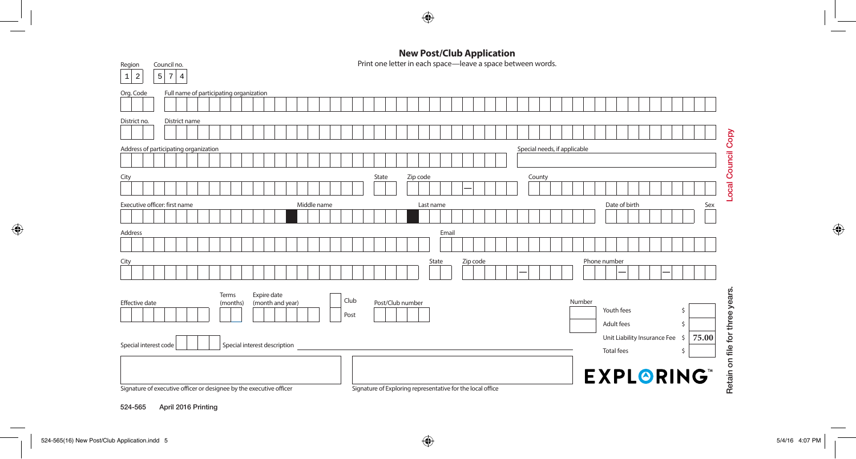

 $\bigoplus$ 

Print one letter in each space—leave a space between words.

| $\overline{a}$<br>5 <sup>1</sup><br>7<br>$\overline{4}$<br>$\mathbf{1}$                                                                                                                           |  |  |  |  |
|---------------------------------------------------------------------------------------------------------------------------------------------------------------------------------------------------|--|--|--|--|
| Full name of participating organization<br>Org. Code                                                                                                                                              |  |  |  |  |
| District name<br>District no.                                                                                                                                                                     |  |  |  |  |
| Special needs, if applicable<br>Address of participating organization                                                                                                                             |  |  |  |  |
| Local Council Copy<br>Zip code<br>County<br>State<br>City                                                                                                                                         |  |  |  |  |
| Executive officer: first name<br>Date of birth<br>Middle name<br>Sex<br>Last name                                                                                                                 |  |  |  |  |
| Address<br>Email                                                                                                                                                                                  |  |  |  |  |
| State<br>Zip code<br>Phone number<br>City                                                                                                                                                         |  |  |  |  |
| for three years.<br>Expire date<br>Terms<br>Club<br>Number<br>Post/Club number<br><b>Effective date</b><br>(month and year)<br>(months)<br>Youth fees<br>-S<br>Post<br>Adult fees<br><sup>5</sup> |  |  |  |  |
| Unit Liability Insurance Fee<br>75.00<br>-\$<br>Special interest code<br>Special interest description<br>file<br><b>Total fees</b><br><sup>5</sup>                                                |  |  |  |  |
| Retain on<br><b>EXPLORING®</b><br>Signature of executive officer or designee by the executive officer<br>Signature of Exploring representative for the local office                               |  |  |  |  |

524-565 April 2016 Printing

Region Council no.

 $\bigoplus$